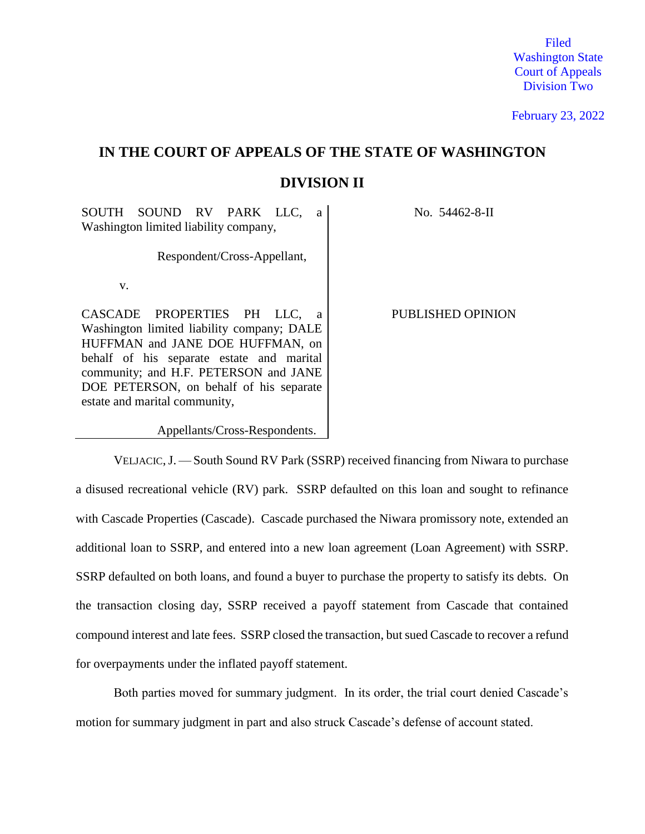Filed Washington State Court of Appeals Division Two

February 23, 2022

# **IN THE COURT OF APPEALS OF THE STATE OF WASHINGTON DIVISION II**

SOUTH SOUND RV PARK LLC, a Washington limited liability company,

Respondent/Cross-Appellant,

v.

CASCADE PROPERTIES PH LLC, a Washington limited liability company; DALE HUFFMAN and JANE DOE HUFFMAN, on behalf of his separate estate and marital community; and H.F. PETERSON and JANE DOE PETERSON, on behalf of his separate estate and marital community,

Appellants/Cross-Respondents.

No. 54462-8-II

PUBLISHED OPINION

VELJACIC,J. — South Sound RV Park (SSRP) received financing from Niwara to purchase a disused recreational vehicle (RV) park. SSRP defaulted on this loan and sought to refinance with Cascade Properties (Cascade). Cascade purchased the Niwara promissory note, extended an additional loan to SSRP, and entered into a new loan agreement (Loan Agreement) with SSRP. SSRP defaulted on both loans, and found a buyer to purchase the property to satisfy its debts. On the transaction closing day, SSRP received a payoff statement from Cascade that contained compound interest and late fees. SSRP closed the transaction, but sued Cascade to recover a refund for overpayments under the inflated payoff statement.

Both parties moved for summary judgment. In its order, the trial court denied Cascade's motion for summary judgment in part and also struck Cascade's defense of account stated.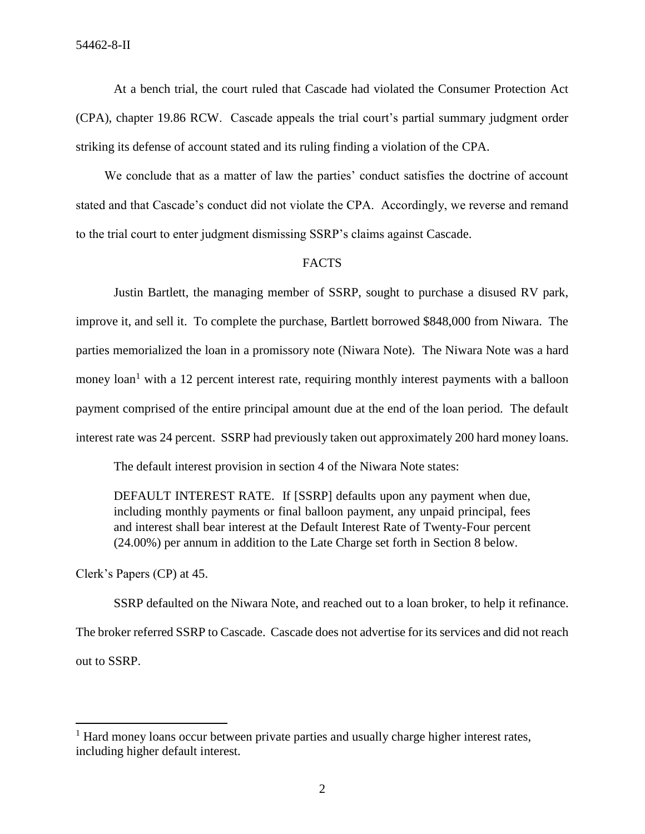At a bench trial, the court ruled that Cascade had violated the Consumer Protection Act (CPA), chapter 19.86 RCW. Cascade appeals the trial court's partial summary judgment order striking its defense of account stated and its ruling finding a violation of the CPA.

We conclude that as a matter of law the parties' conduct satisfies the doctrine of account stated and that Cascade's conduct did not violate the CPA. Accordingly, we reverse and remand to the trial court to enter judgment dismissing SSRP's claims against Cascade.

### FACTS

Justin Bartlett, the managing member of SSRP, sought to purchase a disused RV park, improve it, and sell it. To complete the purchase, Bartlett borrowed \$848,000 from Niwara. The parties memorialized the loan in a promissory note (Niwara Note). The Niwara Note was a hard money  $\alpha$ <sup>1</sup> with a 12 percent interest rate, requiring monthly interest payments with a balloon payment comprised of the entire principal amount due at the end of the loan period. The default interest rate was 24 percent. SSRP had previously taken out approximately 200 hard money loans.

The default interest provision in section 4 of the Niwara Note states:

DEFAULT INTEREST RATE. If [SSRP] defaults upon any payment when due, including monthly payments or final balloon payment, any unpaid principal, fees and interest shall bear interest at the Default Interest Rate of Twenty-Four percent (24.00%) per annum in addition to the Late Charge set forth in Section 8 below.

Clerk's Papers (CP) at 45.

 $\overline{\phantom{a}}$ 

SSRP defaulted on the Niwara Note, and reached out to a loan broker, to help it refinance. The broker referred SSRP to Cascade. Cascade does not advertise for its services and did not reach out to SSRP.

<sup>&</sup>lt;sup>1</sup> Hard money loans occur between private parties and usually charge higher interest rates, including higher default interest.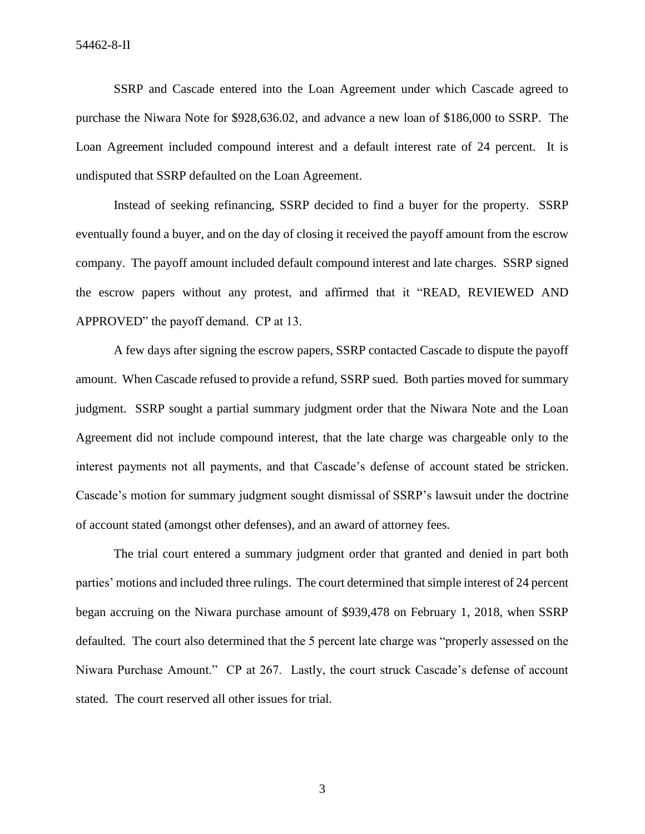SSRP and Cascade entered into the Loan Agreement under which Cascade agreed to purchase the Niwara Note for \$928,636.02, and advance a new loan of \$186,000 to SSRP. The Loan Agreement included compound interest and a default interest rate of 24 percent. It is undisputed that SSRP defaulted on the Loan Agreement.

Instead of seeking refinancing, SSRP decided to find a buyer for the property. SSRP eventually found a buyer, and on the day of closing it received the payoff amount from the escrow company. The payoff amount included default compound interest and late charges. SSRP signed the escrow papers without any protest, and affirmed that it "READ, REVIEWED AND APPROVED" the payoff demand. CP at 13.

A few days after signing the escrow papers, SSRP contacted Cascade to dispute the payoff amount. When Cascade refused to provide a refund, SSRP sued. Both parties moved for summary judgment. SSRP sought a partial summary judgment order that the Niwara Note and the Loan Agreement did not include compound interest, that the late charge was chargeable only to the interest payments not all payments, and that Cascade's defense of account stated be stricken. Cascade's motion for summary judgment sought dismissal of SSRP's lawsuit under the doctrine of account stated (amongst other defenses), and an award of attorney fees.

The trial court entered a summary judgment order that granted and denied in part both parties' motions and included three rulings. The court determined that simple interest of 24 percent began accruing on the Niwara purchase amount of \$939,478 on February 1, 2018, when SSRP defaulted. The court also determined that the 5 percent late charge was "properly assessed on the Niwara Purchase Amount." CP at 267. Lastly, the court struck Cascade's defense of account stated. The court reserved all other issues for trial.

3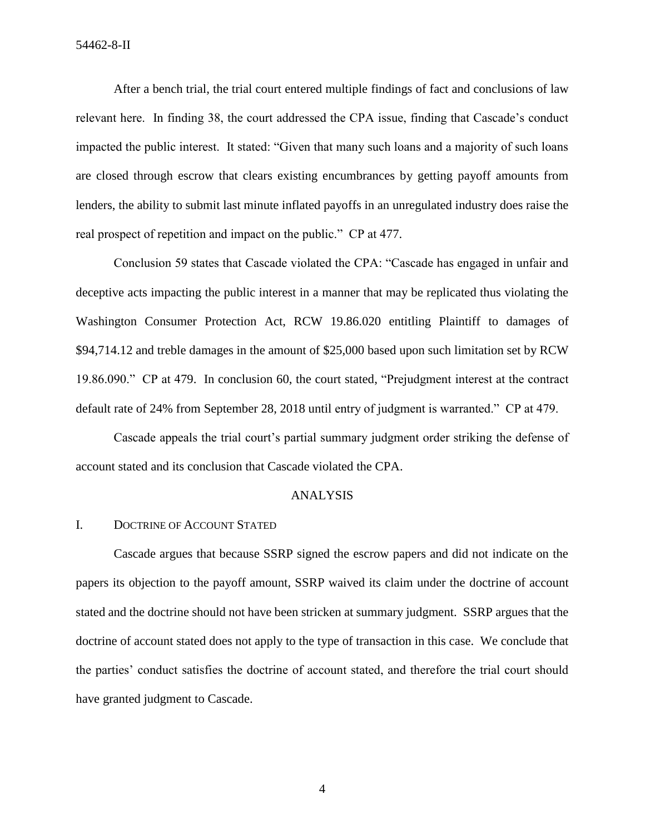After a bench trial, the trial court entered multiple findings of fact and conclusions of law relevant here. In finding 38, the court addressed the CPA issue, finding that Cascade's conduct impacted the public interest. It stated: "Given that many such loans and a majority of such loans are closed through escrow that clears existing encumbrances by getting payoff amounts from lenders, the ability to submit last minute inflated payoffs in an unregulated industry does raise the real prospect of repetition and impact on the public." CP at 477.

Conclusion 59 states that Cascade violated the CPA: "Cascade has engaged in unfair and deceptive acts impacting the public interest in a manner that may be replicated thus violating the Washington Consumer Protection Act, RCW 19.86.020 entitling Plaintiff to damages of \$94,714.12 and treble damages in the amount of \$25,000 based upon such limitation set by RCW 19.86.090." CP at 479. In conclusion 60, the court stated, "Prejudgment interest at the contract default rate of 24% from September 28, 2018 until entry of judgment is warranted." CP at 479.

Cascade appeals the trial court's partial summary judgment order striking the defense of account stated and its conclusion that Cascade violated the CPA.

#### ANALYSIS

#### I. DOCTRINE OF ACCOUNT STATED

Cascade argues that because SSRP signed the escrow papers and did not indicate on the papers its objection to the payoff amount, SSRP waived its claim under the doctrine of account stated and the doctrine should not have been stricken at summary judgment. SSRP argues that the doctrine of account stated does not apply to the type of transaction in this case. We conclude that the parties' conduct satisfies the doctrine of account stated, and therefore the trial court should have granted judgment to Cascade.

4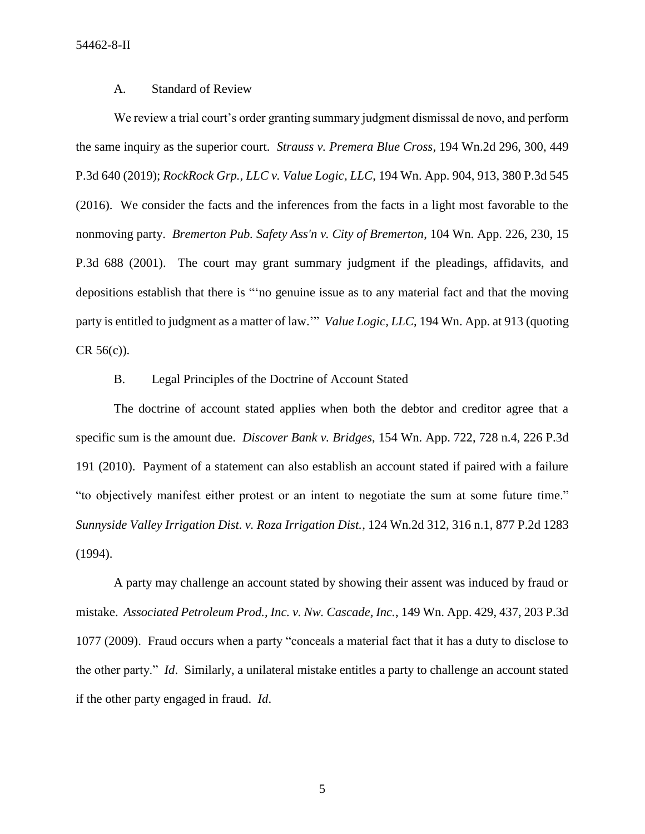54462-8-II

### A. Standard of Review

We review a trial court's order granting summary judgment dismissal de novo, and perform the same inquiry as the superior court. *Strauss v. Premera Blue Cross*, 194 Wn.2d 296, 300, 449 P.3d 640 (2019); *RockRock Grp., LLC v. Value Logic, LLC*, 194 Wn. App. 904, 913, 380 P.3d 545 (2016). We consider the facts and the inferences from the facts in a light most favorable to the nonmoving party. *Bremerton Pub. Safety Ass'n v. City of Bremerton*, 104 Wn. App. 226, 230, 15 P.3d 688 (2001). The court may grant summary judgment if the pleadings, affidavits, and depositions establish that there is "'no genuine issue as to any material fact and that the moving party is entitled to judgment as a matter of law.'" *Value Logic, LLC*, 194 Wn. App. at 913 (quoting CR 56(c)).

## B. Legal Principles of the Doctrine of Account Stated

The doctrine of account stated applies when both the debtor and creditor agree that a specific sum is the amount due. *Discover Bank v. Bridges*, 154 Wn. App. 722, 728 n.4, 226 P.3d 191 (2010). Payment of a statement can also establish an account stated if paired with a failure "to objectively manifest either protest or an intent to negotiate the sum at some future time." *Sunnyside Valley Irrigation Dist. v. Roza Irrigation Dist.*, 124 Wn.2d 312, 316 n.1, 877 P.2d 1283 (1994).

A party may challenge an account stated by showing their assent was induced by fraud or mistake. *Associated Petroleum Prod., Inc. v. Nw. Cascade, Inc.*, 149 Wn. App. 429, 437, 203 P.3d 1077 (2009). Fraud occurs when a party "conceals a material fact that it has a duty to disclose to the other party." *Id*. Similarly, a unilateral mistake entitles a party to challenge an account stated if the other party engaged in fraud. *Id*.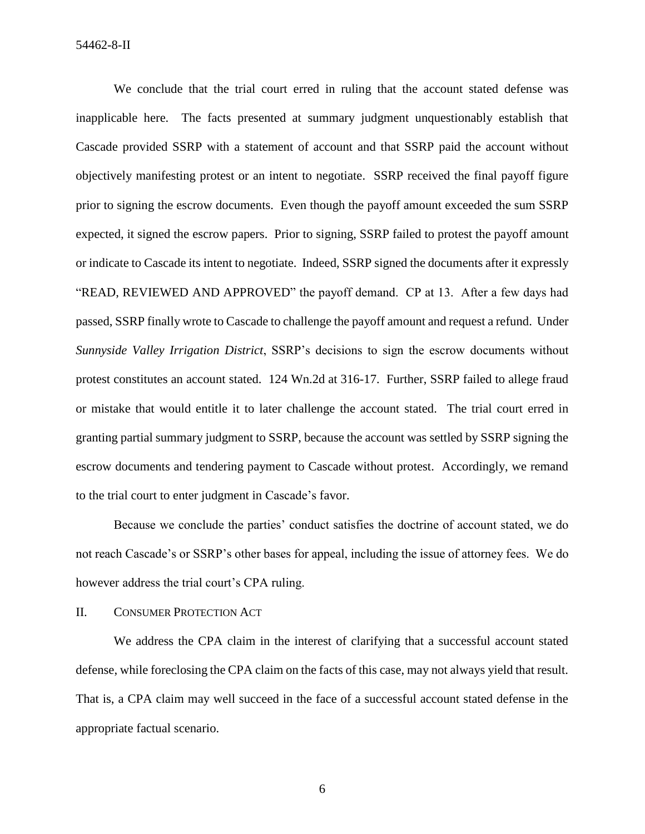54462-8-II

We conclude that the trial court erred in ruling that the account stated defense was inapplicable here. The facts presented at summary judgment unquestionably establish that Cascade provided SSRP with a statement of account and that SSRP paid the account without objectively manifesting protest or an intent to negotiate. SSRP received the final payoff figure prior to signing the escrow documents. Even though the payoff amount exceeded the sum SSRP expected, it signed the escrow papers. Prior to signing, SSRP failed to protest the payoff amount or indicate to Cascade its intent to negotiate. Indeed, SSRP signed the documents after it expressly "READ, REVIEWED AND APPROVED" the payoff demand. CP at 13. After a few days had passed, SSRP finally wrote to Cascade to challenge the payoff amount and request a refund. Under *Sunnyside Valley Irrigation District*, SSRP's decisions to sign the escrow documents without protest constitutes an account stated. 124 Wn.2d at 316-17. Further, SSRP failed to allege fraud or mistake that would entitle it to later challenge the account stated. The trial court erred in granting partial summary judgment to SSRP, because the account was settled by SSRP signing the escrow documents and tendering payment to Cascade without protest. Accordingly, we remand to the trial court to enter judgment in Cascade's favor.

Because we conclude the parties' conduct satisfies the doctrine of account stated, we do not reach Cascade's or SSRP's other bases for appeal, including the issue of attorney fees. We do however address the trial court's CPA ruling.

#### II. CONSUMER PROTECTION ACT

We address the CPA claim in the interest of clarifying that a successful account stated defense, while foreclosing the CPA claim on the facts of this case, may not always yield that result. That is, a CPA claim may well succeed in the face of a successful account stated defense in the appropriate factual scenario.

6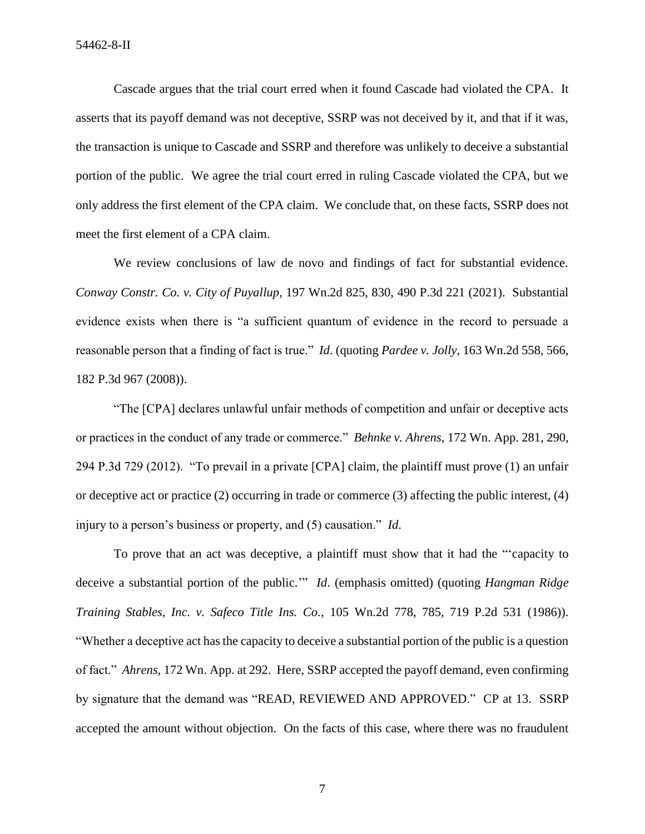Cascade argues that the trial court erred when it found Cascade had violated the CPA. It asserts that its payoff demand was not deceptive, SSRP was not deceived by it, and that if it was, the transaction is unique to Cascade and SSRP and therefore was unlikely to deceive a substantial portion of the public. We agree the trial court erred in ruling Cascade violated the CPA, but we only address the first element of the CPA claim. We conclude that, on these facts, SSRP does not meet the first element of a CPA claim.

We review conclusions of law de novo and findings of fact for substantial evidence. *Conway Constr. Co. v. City of Puyallup*, 197 Wn.2d 825, 830, 490 P.3d 221 (2021). Substantial evidence exists when there is "a sufficient quantum of evidence in the record to persuade a reasonable person that a finding of fact is true." *Id*. (quoting *Pardee v. Jolly*, 163 Wn.2d 558, 566, 182 P.3d 967 (2008)).

"The [CPA] declares unlawful unfair methods of competition and unfair or deceptive acts or practices in the conduct of any trade or commerce." *Behnke v. Ahrens*, 172 Wn. App. 281, 290, 294 P.3d 729 (2012). "To prevail in a private [CPA] claim, the plaintiff must prove (1) an unfair or deceptive act or practice (2) occurring in trade or commerce (3) affecting the public interest, (4) injury to a person's business or property, and (5) causation." *Id*.

To prove that an act was deceptive, a plaintiff must show that it had the "'capacity to deceive a substantial portion of the public.'" *Id*. (emphasis omitted) (quoting *Hangman Ridge Training Stables, Inc. v. Safeco Title Ins. Co.*, 105 Wn.2d 778, 785, 719 P.2d 531 (1986)). "Whether a deceptive act has the capacity to deceive a substantial portion of the public is a question of fact." *Ahrens*, 172 Wn. App. at 292. Here, SSRP accepted the payoff demand, even confirming by signature that the demand was "READ, REVIEWED AND APPROVED." CP at 13. SSRP accepted the amount without objection. On the facts of this case, where there was no fraudulent